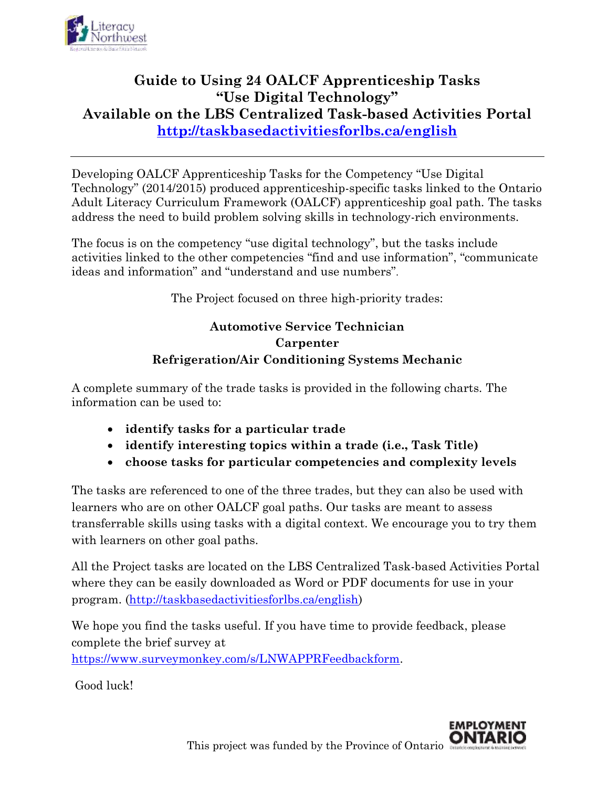

# **Guide to Using 24 OALCF Apprenticeship Tasks "Use Digital Technology" Available on the LBS Centralized Task-based Activities Portal <http://taskbasedactivitiesforlbs.ca/english>**

Developing OALCF Apprenticeship Tasks for the Competency "Use Digital Technology" (2014/2015) produced apprenticeship-specific tasks linked to the Ontario Adult Literacy Curriculum Framework (OALCF) apprenticeship goal path. The tasks address the need to build problem solving skills in technology-rich environments.

The focus is on the competency "use digital technology", but the tasks include activities linked to the other competencies "find and use information", "communicate ideas and information" and "understand and use numbers".

The Project focused on three high-priority trades:

## **Automotive Service Technician Carpenter Refrigeration/Air Conditioning Systems Mechanic**

A complete summary of the trade tasks is provided in the following charts. The information can be used to:

- **identify tasks for a particular trade**
- **identify interesting topics within a trade (i.e., Task Title)**
- **choose tasks for particular competencies and complexity levels**

The tasks are referenced to one of the three trades, but they can also be used with learners who are on other OALCF goal paths. Our tasks are meant to assess transferrable skills using tasks with a digital context. We encourage you to try them with learners on other goal paths.

All the Project tasks are located on the LBS Centralized Task-based Activities Portal where they can be easily downloaded as Word or PDF documents for use in your program. [\(http://taskbasedactivitiesforlbs.ca/english\)](http://taskbasedactivitiesforlbs.ca/english)

We hope you find the tasks useful. If you have time to provide feedback, please complete the brief survey at [https://www.surveymonkey.com/s/LNWAPPRFeedbackform.](https://www.surveymonkey.com/s/LNWAPPRFeedbackform)

Good luck!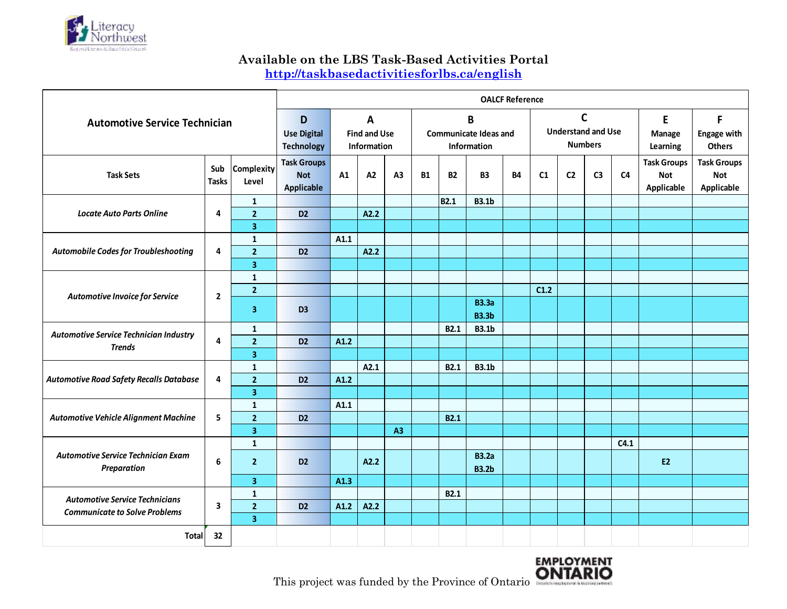

#### **Available on the LBS Task-Based Activities Portal**

**<http://taskbasedactivitiesforlbs.ca/english>**

| <b>Automotive Service Technician</b>                                          |                     |                                | <b>OALCF Reference</b>                                |                                                    |      |                |           |                                                  |                                                             |           |      |                |                         |                                          |                                                |                                                |
|-------------------------------------------------------------------------------|---------------------|--------------------------------|-------------------------------------------------------|----------------------------------------------------|------|----------------|-----------|--------------------------------------------------|-------------------------------------------------------------|-----------|------|----------------|-------------------------|------------------------------------------|------------------------------------------------|------------------------------------------------|
|                                                                               |                     |                                | D<br><b>Use Digital</b><br><b>Technology</b>          | $\mathbf{A}$<br><b>Find and Use</b><br>Information |      |                |           | B<br><b>Communicate Ideas and</b><br>Information | $\mathsf{C}$<br><b>Understand and Use</b><br><b>Numbers</b> |           |      |                | E<br>Manage<br>Learning | F<br><b>Engage with</b><br><b>Others</b> |                                                |                                                |
| <b>Task Sets</b>                                                              | Sub<br><b>Tasks</b> | <b>Complexity</b><br>Level     | <b>Task Groups</b><br><b>Not</b><br><b>Applicable</b> | A1                                                 | A2   | A <sub>3</sub> | <b>B1</b> | <b>B2</b>                                        | <b>B3</b>                                                   | <b>B4</b> | C1   | C <sub>2</sub> | C <sub>3</sub>          | C <sub>4</sub>                           | <b>Task Groups</b><br><b>Not</b><br>Applicable | <b>Task Groups</b><br><b>Not</b><br>Applicable |
| <b>Locate Auto Parts Online</b>                                               |                     | $\mathbf{1}$                   |                                                       |                                                    |      |                |           | <b>B2.1</b>                                      | <b>B3.1b</b>                                                |           |      |                |                         |                                          |                                                |                                                |
|                                                                               | 4                   | $\overline{2}$                 | D <sub>2</sub>                                        |                                                    | A2.2 |                |           |                                                  |                                                             |           |      |                |                         |                                          |                                                |                                                |
|                                                                               |                     | 3                              |                                                       |                                                    |      |                |           |                                                  |                                                             |           |      |                |                         |                                          |                                                |                                                |
| <b>Automobile Codes for Troubleshooting</b>                                   | 4                   | $\mathbf{1}$<br>$\overline{2}$ | D <sub>2</sub>                                        | A1.1                                               | A2.2 |                |           |                                                  |                                                             |           |      |                |                         |                                          |                                                |                                                |
|                                                                               |                     | 3                              |                                                       |                                                    |      |                |           |                                                  |                                                             |           |      |                |                         |                                          |                                                |                                                |
| Automotive Invoice for Service                                                | $\overline{2}$      | $\mathbf{1}$                   |                                                       |                                                    |      |                |           |                                                  |                                                             |           |      |                |                         |                                          |                                                |                                                |
|                                                                               |                     | $\overline{2}$                 |                                                       |                                                    |      |                |           |                                                  |                                                             |           | C1.2 |                |                         |                                          |                                                |                                                |
|                                                                               |                     | 3                              | D <sub>3</sub>                                        |                                                    |      |                |           |                                                  | <b>B3.3a</b><br><b>B3.3b</b>                                |           |      |                |                         |                                          |                                                |                                                |
|                                                                               | 4                   | 1                              |                                                       |                                                    |      |                |           | <b>B2.1</b>                                      | <b>B3.1b</b>                                                |           |      |                |                         |                                          |                                                |                                                |
| <b>Automotive Service Technician Industry</b>                                 |                     | $\overline{2}$                 | D <sub>2</sub>                                        | A1.2                                               |      |                |           |                                                  |                                                             |           |      |                |                         |                                          |                                                |                                                |
| <b>Trends</b>                                                                 |                     | 3                              |                                                       |                                                    |      |                |           |                                                  |                                                             |           |      |                |                         |                                          |                                                |                                                |
|                                                                               | 4                   | 1                              |                                                       |                                                    | A2.1 |                |           | <b>B2.1</b>                                      | <b>B3.1b</b>                                                |           |      |                |                         |                                          |                                                |                                                |
| <b>Automotive Road Safety Recalls Database</b>                                |                     | $\overline{2}$                 | D <sub>2</sub>                                        | A1.2                                               |      |                |           |                                                  |                                                             |           |      |                |                         |                                          |                                                |                                                |
|                                                                               |                     | 3                              |                                                       |                                                    |      |                |           |                                                  |                                                             |           |      |                |                         |                                          |                                                |                                                |
|                                                                               |                     | $\mathbf{1}$                   |                                                       | A1.1                                               |      |                |           |                                                  |                                                             |           |      |                |                         |                                          |                                                |                                                |
| Automotive Vehicle Alignment Machine                                          | 5                   | $\overline{2}$                 | D <sub>2</sub>                                        |                                                    |      |                |           | <b>B2.1</b>                                      |                                                             |           |      |                |                         |                                          |                                                |                                                |
|                                                                               |                     | 3                              |                                                       |                                                    |      | A3             |           |                                                  |                                                             |           |      |                |                         |                                          |                                                |                                                |
| Automotive Service Technician Exam<br>Preparation                             |                     | $\mathbf{1}$                   |                                                       |                                                    |      |                |           |                                                  |                                                             |           |      |                |                         | C4.1                                     |                                                |                                                |
|                                                                               | 6                   | $\overline{2}$                 | D <sub>2</sub>                                        |                                                    | A2.2 |                |           |                                                  | <b>B3.2a</b><br><b>B3.2b</b>                                |           |      |                |                         |                                          | <b>E2</b>                                      |                                                |
|                                                                               |                     | 3                              |                                                       | A1.3                                               |      |                |           |                                                  |                                                             |           |      |                |                         |                                          |                                                |                                                |
| <b>Automotive Service Technicians</b><br><b>Communicate to Solve Problems</b> | 3                   | $\mathbf{1}$                   |                                                       |                                                    |      |                |           | <b>B2.1</b>                                      |                                                             |           |      |                |                         |                                          |                                                |                                                |
|                                                                               |                     | $\overline{2}$                 | D <sub>2</sub>                                        | A1.2                                               | A2.2 |                |           |                                                  |                                                             |           |      |                |                         |                                          |                                                |                                                |
|                                                                               |                     | 3                              |                                                       |                                                    |      |                |           |                                                  |                                                             |           |      |                |                         |                                          |                                                |                                                |
| Total                                                                         | 32                  |                                |                                                       |                                                    |      |                |           |                                                  |                                                             |           |      |                |                         |                                          |                                                |                                                |



This project was funded by the Province of Ontario **ONTARIO**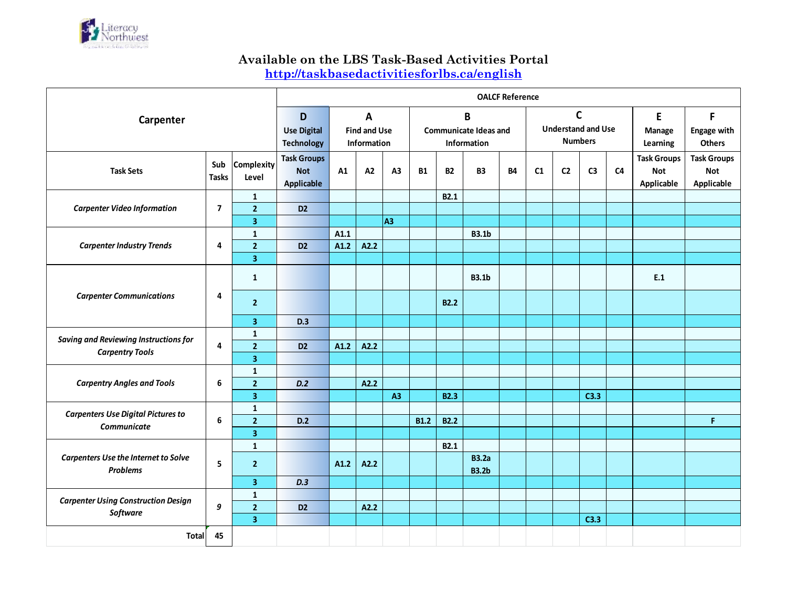

#### **Available on the LBS Task-Based Activities Portal**

**<http://taskbasedactivitiesforlbs.ca/english>**

|                                                                        |                                              |                                                    | <b>OALCF Reference</b>                                |      |      |                |                                                  |                                                            |                              |           |    |                                |                                          |                |                                                |                                                |
|------------------------------------------------------------------------|----------------------------------------------|----------------------------------------------------|-------------------------------------------------------|------|------|----------------|--------------------------------------------------|------------------------------------------------------------|------------------------------|-----------|----|--------------------------------|------------------------------------------|----------------|------------------------------------------------|------------------------------------------------|
| Carpenter                                                              | D<br><b>Use Digital</b><br><b>Technology</b> | $\mathsf{A}$<br><b>Find and Use</b><br>Information |                                                       |      |      |                | B<br><b>Communicate Ideas and</b><br>Information | $\mathbf c$<br><b>Understand and Use</b><br><b>Numbers</b> |                              |           |    | E<br><b>Manage</b><br>Learning | F<br><b>Engage with</b><br><b>Others</b> |                |                                                |                                                |
| <b>Task Sets</b>                                                       | Sub<br><b>Tasks</b>                          | <b>Complexity</b><br>Level                         | <b>Task Groups</b><br><b>Not</b><br><b>Applicable</b> | A1   | A2   | A <sub>3</sub> | <b>B1</b>                                        | <b>B2</b>                                                  | <b>B3</b>                    | <b>B4</b> | C1 | C <sub>2</sub>                 | C <sub>3</sub>                           | C <sub>4</sub> | <b>Task Groups</b><br><b>Not</b><br>Applicable | <b>Task Groups</b><br><b>Not</b><br>Applicable |
|                                                                        |                                              | $\mathbf{1}$                                       |                                                       |      |      |                |                                                  | <b>B2.1</b>                                                |                              |           |    |                                |                                          |                |                                                |                                                |
| <b>Carpenter Video Information</b>                                     | $\overline{\mathbf{z}}$                      | $\overline{2}$                                     | D <sub>2</sub>                                        |      |      |                |                                                  |                                                            |                              |           |    |                                |                                          |                |                                                |                                                |
|                                                                        |                                              | $\overline{\mathbf{3}}$                            |                                                       |      |      | A <sub>3</sub> |                                                  |                                                            |                              |           |    |                                |                                          |                |                                                |                                                |
| <b>Carpenter Industry Trends</b>                                       |                                              | $\mathbf 1$                                        |                                                       | A1.1 |      |                |                                                  |                                                            | <b>B3.1b</b>                 |           |    |                                |                                          |                |                                                |                                                |
|                                                                        | 4                                            | $\overline{2}$                                     | D <sub>2</sub>                                        | A1.2 | A2.2 |                |                                                  |                                                            |                              |           |    |                                |                                          |                |                                                |                                                |
|                                                                        |                                              | $\overline{\mathbf{3}}$                            |                                                       |      |      |                |                                                  |                                                            |                              |           |    |                                |                                          |                |                                                |                                                |
| <b>Carpenter Communications</b>                                        | $\overline{a}$                               | $\mathbf{1}$                                       |                                                       |      |      |                |                                                  |                                                            | <b>B3.1b</b>                 |           |    |                                |                                          |                | E.1                                            |                                                |
|                                                                        |                                              | $\overline{2}$                                     |                                                       |      |      |                |                                                  | B2.2                                                       |                              |           |    |                                |                                          |                |                                                |                                                |
|                                                                        |                                              | 3                                                  | D.3                                                   |      |      |                |                                                  |                                                            |                              |           |    |                                |                                          |                |                                                |                                                |
| <b>Saving and Reviewing Instructions for</b><br><b>Carpentry Tools</b> | $\overline{4}$                               | 1                                                  |                                                       |      |      |                |                                                  |                                                            |                              |           |    |                                |                                          |                |                                                |                                                |
|                                                                        |                                              | $\overline{2}$                                     | D <sub>2</sub>                                        | A1.2 | A2.2 |                |                                                  |                                                            |                              |           |    |                                |                                          |                |                                                |                                                |
|                                                                        |                                              | $\overline{\mathbf{3}}$                            |                                                       |      |      |                |                                                  |                                                            |                              |           |    |                                |                                          |                |                                                |                                                |
|                                                                        | 6                                            | $\mathbf 1$                                        |                                                       |      |      |                |                                                  |                                                            |                              |           |    |                                |                                          |                |                                                |                                                |
| <b>Carpentry Angles and Tools</b>                                      |                                              | $\overline{2}$                                     | D.2                                                   |      | A2.2 |                |                                                  |                                                            |                              |           |    |                                |                                          |                |                                                |                                                |
|                                                                        |                                              | 3                                                  |                                                       |      |      | A3             |                                                  | <b>B2.3</b>                                                |                              |           |    |                                | C3.3                                     |                |                                                |                                                |
| <b>Carpenters Use Digital Pictures to</b>                              | 6                                            | $\mathbf 1$                                        |                                                       |      |      |                |                                                  |                                                            |                              |           |    |                                |                                          |                |                                                |                                                |
| Communicate                                                            |                                              | $\overline{2}$                                     | D.2                                                   |      |      |                | <b>B1.2</b>                                      | <b>B2.2</b>                                                |                              |           |    |                                |                                          |                |                                                | F.                                             |
|                                                                        |                                              | 3                                                  |                                                       |      |      |                |                                                  |                                                            |                              |           |    |                                |                                          |                |                                                |                                                |
| <b>Carpenters Use the Internet to Solve</b><br><b>Problems</b>         | 5                                            | $\mathbf{1}$                                       |                                                       |      |      |                |                                                  | <b>B2.1</b>                                                |                              |           |    |                                |                                          |                |                                                |                                                |
|                                                                        |                                              | $\overline{2}$                                     |                                                       | A1.2 | A2.2 |                |                                                  |                                                            | <b>B3.2a</b><br><b>B3.2b</b> |           |    |                                |                                          |                |                                                |                                                |
|                                                                        |                                              | 3                                                  | D.3                                                   |      |      |                |                                                  |                                                            |                              |           |    |                                |                                          |                |                                                |                                                |
| <b>Carpenter Using Construction Design</b><br>Software                 | 9                                            | $\mathbf{1}$                                       |                                                       |      |      |                |                                                  |                                                            |                              |           |    |                                |                                          |                |                                                |                                                |
|                                                                        |                                              | $\overline{2}$                                     | D <sub>2</sub>                                        |      | A2.2 |                |                                                  |                                                            |                              |           |    |                                |                                          |                |                                                |                                                |
|                                                                        |                                              | 3                                                  |                                                       |      |      |                |                                                  |                                                            |                              |           |    |                                | C3.3                                     |                |                                                |                                                |
| <b>Total</b>                                                           | 45                                           |                                                    |                                                       |      |      |                |                                                  |                                                            |                              |           |    |                                |                                          |                |                                                |                                                |